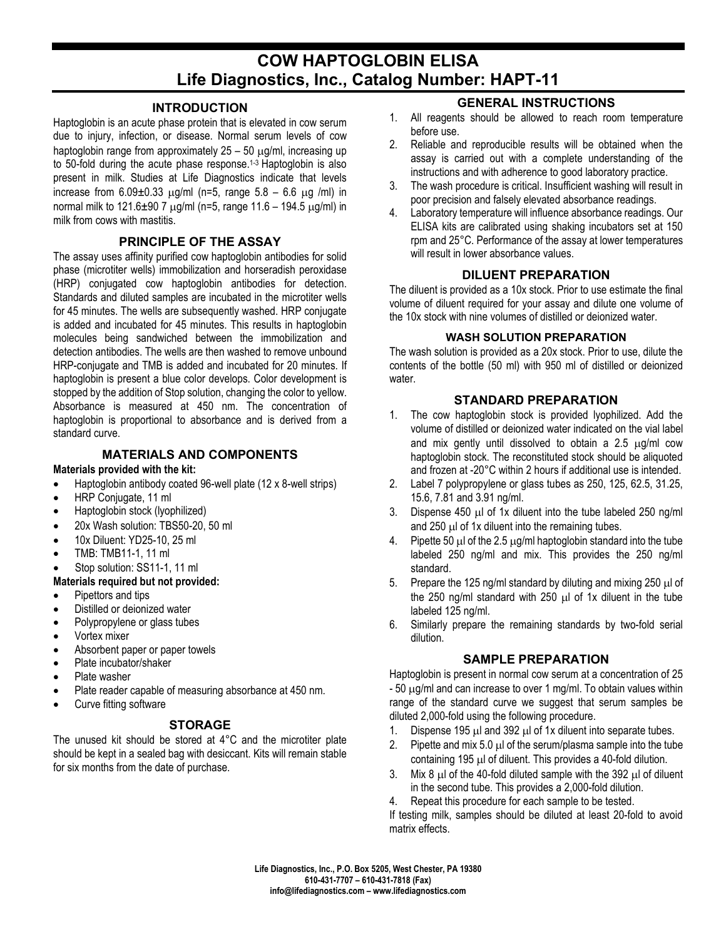# **COW HAPTOGLOBIN ELISA Life Diagnostics, Inc., Catalog Number: HAPT-11**

### **INTRODUCTION**

Haptoglobin is an acute phase protein that is elevated in cow serum due to injury, infection, or disease. Normal serum levels of cow haptoglobin range from approximately  $25 - 50 \mu$ g/ml, increasing up to 50-fold during the acute phase response.<sup>1-3</sup> Haptoglobin is also present in milk. Studies at Life Diagnostics indicate that levels increase from  $6.09\pm0.33$   $\mu$ g/ml (n=5, range  $5.8 - 6.6$   $\mu$ g /ml) in normal milk to  $121.6 \pm 90.7$   $\mu$ g/ml (n=5, range  $11.6 - 194.5$   $\mu$ g/ml) in milk from cows with mastitis.

### **PRINCIPLE OF THE ASSAY**

The assay uses affinity purified cow haptoglobin antibodies for solid phase (microtiter wells) immobilization and horseradish peroxidase (HRP) conjugated cow haptoglobin antibodies for detection. Standards and diluted samples are incubated in the microtiter wells for 45 minutes. The wells are subsequently washed. HRP conjugate is added and incubated for 45 minutes. This results in haptoglobin molecules being sandwiched between the immobilization and detection antibodies. The wells are then washed to remove unbound HRP-conjugate and TMB is added and incubated for 20 minutes. If haptoglobin is present a blue color develops. Color development is stopped by the addition of Stop solution, changing the color to yellow. Absorbance is measured at 450 nm. The concentration of haptoglobin is proportional to absorbance and is derived from a standard curve.

### **MATERIALS AND COMPONENTS**

### **Materials provided with the kit:**

- Haptoglobin antibody coated 96-well plate (12 x 8-well strips)
- HRP Conjugate, 11 ml
- Haptoglobin stock (lyophilized)
- 20x Wash solution: TBS50-20, 50 ml
- 10x Diluent: YD25-10, 25 ml
- TMB: TMB11-1, 11 ml
- Stop solution: SS11-1, 11 ml

### **Materials required but not provided:**

- Pipettors and tips
- Distilled or deionized water
- Polypropylene or glass tubes
- Vortex mixer
- Absorbent paper or paper towels
- Plate incubator/shaker
- Plate washer
- Plate reader capable of measuring absorbance at 450 nm.
- Curve fitting software

#### **STORAGE**

The unused kit should be stored at 4°C and the microtiter plate should be kept in a sealed bag with desiccant. Kits will remain stable for six months from the date of purchase.

### **GENERAL INSTRUCTIONS**

- 1. All reagents should be allowed to reach room temperature before use.
- 2. Reliable and reproducible results will be obtained when the assay is carried out with a complete understanding of the instructions and with adherence to good laboratory practice.
- 3. The wash procedure is critical. Insufficient washing will result in poor precision and falsely elevated absorbance readings.
- 4. Laboratory temperature will influence absorbance readings. Our ELISA kits are calibrated using shaking incubators set at 150 rpm and 25°C. Performance of the assay at lower temperatures will result in lower absorbance values.

### **DILUENT PREPARATION**

The diluent is provided as a 10x stock. Prior to use estimate the final volume of diluent required for your assay and dilute one volume of the 10x stock with nine volumes of distilled or deionized water.

#### **WASH SOLUTION PREPARATION**

The wash solution is provided as a 20x stock. Prior to use, dilute the contents of the bottle (50 ml) with 950 ml of distilled or deionized water.

### **STANDARD PREPARATION**

- 1. The cow haptoglobin stock is provided lyophilized. Add the volume of distilled or deionized water indicated on the vial label and mix gently until dissolved to obtain a  $2.5 \mu g/ml$  cow haptoglobin stock. The reconstituted stock should be aliquoted and frozen at -20°C within 2 hours if additional use is intended.
- 2. Label 7 polypropylene or glass tubes as 250, 125, 62.5, 31.25, 15.6, 7.81 and 3.91 ng/ml.
- 3. Dispense 450 µl of 1x diluent into the tube labeled 250 ng/ml and  $250 \mu$  of 1x diluent into the remaining tubes.
- 4. Pipette 50  $\mu$  of the 2.5  $\mu$ g/ml haptoglobin standard into the tube labeled 250 ng/ml and mix. This provides the 250 ng/ml standard.
- 5. Prepare the 125 ng/ml standard by diluting and mixing 250  $\mu$ l of the 250 ng/ml standard with 250  $\mu$ l of 1x diluent in the tube labeled 125 ng/ml.
- 6. Similarly prepare the remaining standards by two-fold serial dilution.

#### **SAMPLE PREPARATION**

Haptoglobin is present in normal cow serum at a concentration of 25 - 50 µg/ml and can increase to over 1 mg/ml. To obtain values within range of the standard curve we suggest that serum samples be diluted 2,000-fold using the following procedure.

- 1. Dispense 195  $\mu$ l and 392  $\mu$ l of 1x diluent into separate tubes.
- 2. Pipette and mix 5.0  $\mu$  of the serum/plasma sample into the tube containing 195 µl of diluent. This provides a 40-fold dilution.
- 3. Mix 8  $\mu$  of the 40-fold diluted sample with the 392  $\mu$  of diluent in the second tube. This provides a 2,000-fold dilution.
- 4. Repeat this procedure for each sample to be tested.

If testing milk, samples should be diluted at least 20-fold to avoid matrix effects.

**Life Diagnostics, Inc., P.O. Box 5205, West Chester, PA 19380 610-431-7707 – 610-431-7818 (Fax) info@lifediagnostics.com – www.lifediagnostics.com**